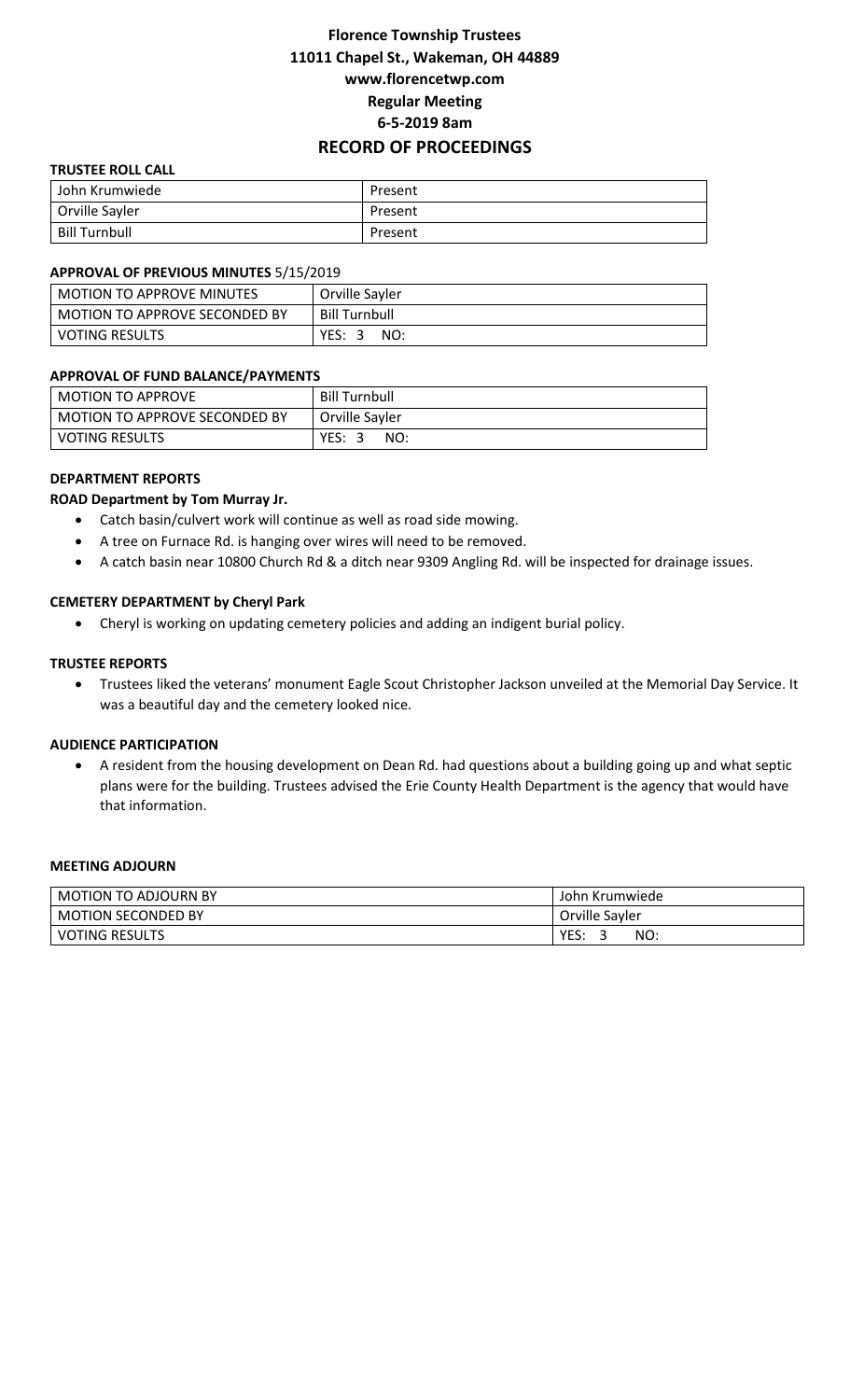# **Florence Township Trustees 11011 Chapel St., Wakeman, OH 44889 www.florencetwp.com Regular Meeting 6-5-2019 8am RECORD OF PROCEEDINGS**

## **TRUSTEE ROLL CALL**

| John Krumwiede       | Present |
|----------------------|---------|
| Orville Sayler       | Present |
| <b>Bill Turnbull</b> | Present |

#### **APPROVAL OF PREVIOUS MINUTES** 5/15/2019

| <b>MOTION TO APPROVE MINUTES</b> | Orville Sayler       |
|----------------------------------|----------------------|
| MOTION TO APPROVE SECONDED BY    | <b>Bill Turnbull</b> |
| <b>VOTING RESULTS</b>            | YES: 3<br>NO:        |

### **APPROVAL OF FUND BALANCE/PAYMENTS**

| l MOTION TO APPROVE             | <b>Bill Turnbull</b> |
|---------------------------------|----------------------|
| l MOTION TO APPROVE SECONDED BY | Orville Sayler       |
| l VOTING RESULTS                | YES:<br>NO:<br>- 2   |

### **DEPARTMENT REPORTS**

### **ROAD Department by Tom Murray Jr.**

- Catch basin/culvert work will continue as well as road side mowing.
- A tree on Furnace Rd. is hanging over wires will need to be removed.
- A catch basin near 10800 Church Rd & a ditch near 9309 Angling Rd. will be inspected for drainage issues.

### **CEMETERY DEPARTMENT by Cheryl Park**

Cheryl is working on updating cemetery policies and adding an indigent burial policy.

### **TRUSTEE REPORTS**

 Trustees liked the veterans' monument Eagle Scout Christopher Jackson unveiled at the Memorial Day Service. It was a beautiful day and the cemetery looked nice.

### **AUDIENCE PARTICIPATION**

 A resident from the housing development on Dean Rd. had questions about a building going up and what septic plans were for the building. Trustees advised the Erie County Health Department is the agency that would have that information.

#### **MEETING ADJOURN**

| <b>MOTION TO ADJOURN BY</b> | John Krumwiede |
|-----------------------------|----------------|
| <b>MOTION SECONDED BY</b>   | Orville Sayler |
| <b>VOTING RESULTS</b>       | YES.<br>NO:    |